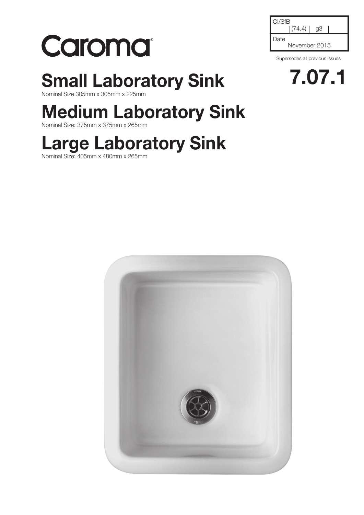

## **Small Laboratory Sink 7.07.1**

Nominal Size 305mm x 305mm x 225mm

## **Medium Laboratory Sink**

Nominal Size: 375mm x 375mm x 265mm

## **Large Laboratory Sink**

Nominal Size: 405mm x 480mm x 265mm

| CI/SfB |               |    |  |
|--------|---------------|----|--|
|        | (74.4)        | aЗ |  |
| Date   |               |    |  |
|        | November 2015 |    |  |

Supersedes all previous issues